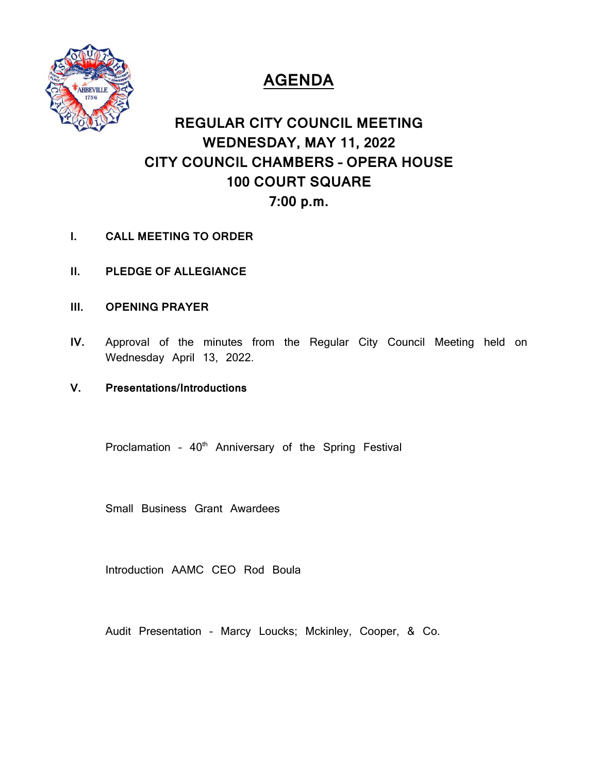

# **AGENDA**

# **REGULAR CITY COUNCIL MEETING WEDNESDAY, MAY 11, 2022 CITY COUNCIL CHAMBERS – OPERA HOUSE 100 COURT SQUARE 7:00 p.m.**

- **I. CALL MEETING TO ORDER**
- **II. PLEDGE OF ALLEGIANCE**
- **III. OPENING PRAYER**
- **IV.** Approval of the minutes from the Regular City Council Meeting held on Wednesday April 13, 2022.
- **V. Presentations/Introductions**

Proclamation -  $40<sup>th</sup>$  Anniversary of the Spring Festival

Small Business Grant Awardees

Introduction AAMC CEO Rod Boula

Audit Presentation – Marcy Loucks; Mckinley, Cooper, & Co.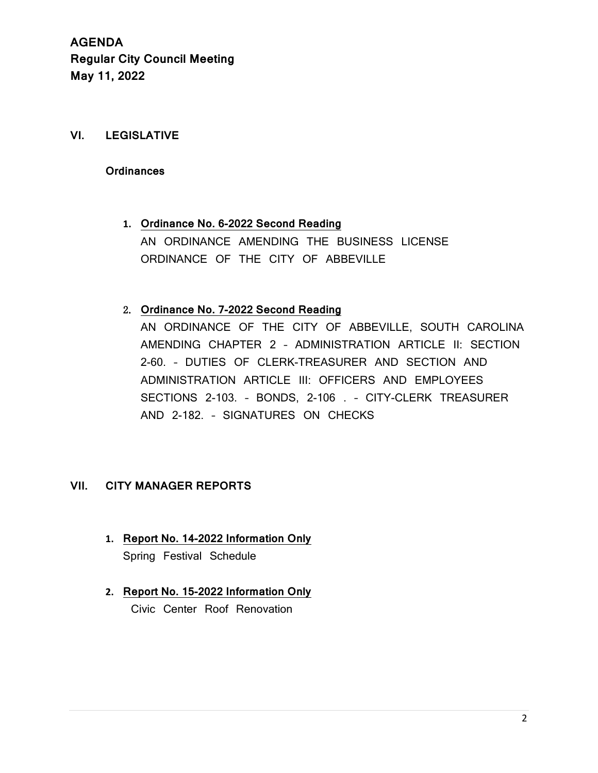# **VI. LEGISLATIVE**

#### **Ordinances**

**1. Ordinance No. 6-2022 Second Reading** AN ORDINANCE AMENDING THE BUSINESS LICENSE ORDINANCE OF THE CITY OF ABBEVILLE

# 2. **Ordinance No. 7-2022 Second Reading**

AN ORDINANCE OF THE CITY OF ABBEVILLE, SOUTH CAROLINA AMENDING CHAPTER 2 – ADMINISTRATION ARTICLE II: SECTION 2-60. – DUTIES OF CLERK-TREASURER AND SECTION AND ADMINISTRATION ARTICLE III: OFFICERS AND EMPLOYEES SECTIONS 2-103. – BONDS, 2-106 . – CITY-CLERK TREASURER AND 2-182. – SIGNATURES ON CHECKS

#### **VII. CITY MANAGER REPORTS**

- **1. Report No. 14-2022 Information Only** Spring Festival Schedule
- **2. Report No. 15-2022 Information Only** Civic Center Roof Renovation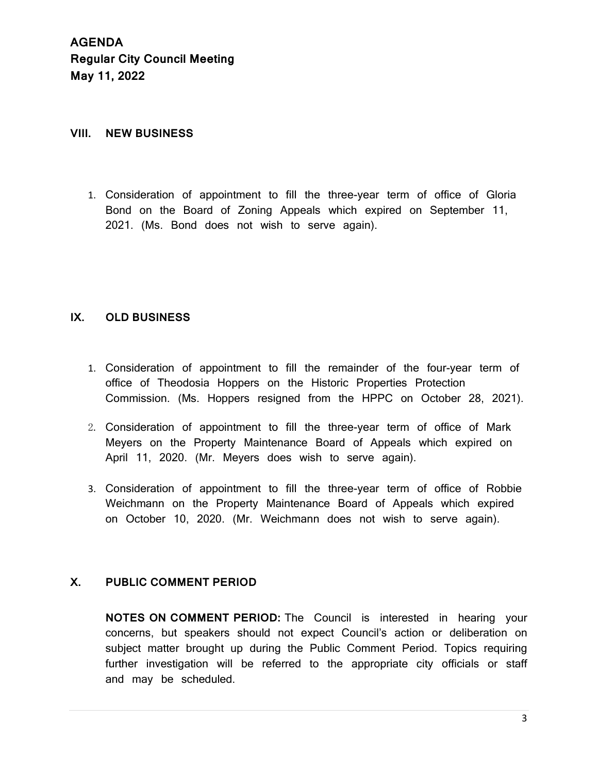#### **VIII. NEW BUSINESS**

1. Consideration of appointment to fill the three-year term of office of Gloria Bond on the Board of Zoning Appeals which expired on September 11, 2021. (Ms. Bond does not wish to serve again).

### **IX. OLD BUSINESS**

- 1. Consideration of appointment to fill the remainder of the four-year term of office of Theodosia Hoppers on the Historic Properties Protection Commission. (Ms. Hoppers resigned from the HPPC on October 28, 2021).
- 2. Consideration of appointment to fill the three-year term of office of Mark Meyers on the Property Maintenance Board of Appeals which expired on April 11, 2020. (Mr. Meyers does wish to serve again).
- 3. Consideration of appointment to fill the three-year term of office of Robbie Weichmann on the Property Maintenance Board of Appeals which expired on October 10, 2020. (Mr. Weichmann does not wish to serve again).

# **X. PUBLIC COMMENT PERIOD**

**NOTES ON COMMENT PERIOD:** The Council is interested in hearing your concerns, but speakers should not expect Council's action or deliberation on subject matter brought up during the Public Comment Period. Topics requiring further investigation will be referred to the appropriate city officials or staff and may be scheduled.